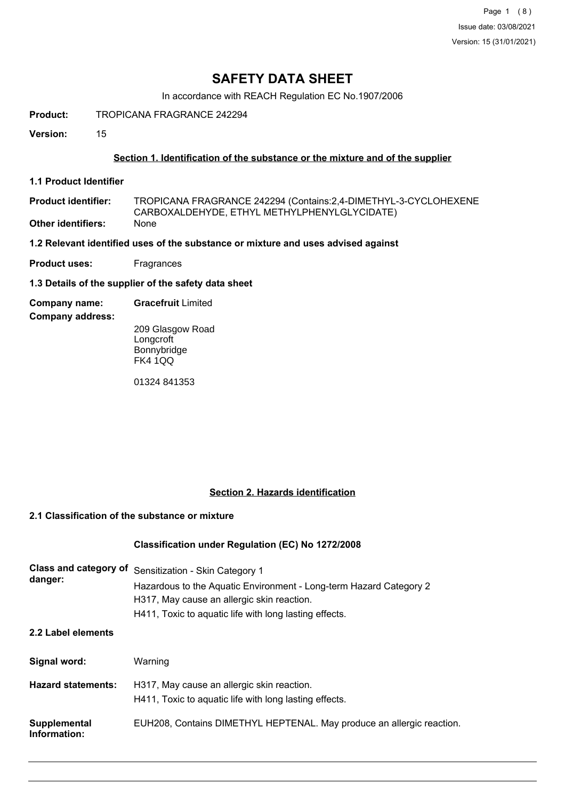# **SAFETY DATA SHEET**

In accordance with REACH Regulation EC No.1907/2006

**Product:** TROPICANA FRAGRANCE 242294

**Version:** 15

### **Section 1. Identification of the substance or the mixture and of the supplier**

**1.1 Product Identifier**

TROPICANA FRAGRANCE 242294 (Contains:2,4-DIMETHYL-3-CYCLOHEXENE CARBOXALDEHYDE, ETHYL METHYLPHENYLGLYCIDATE) **Product identifier: Other identifiers:** 

**1.2 Relevant identified uses of the substance or mixture and uses advised against**

**Product uses:** Fragrances

**1.3 Details of the supplier of the safety data sheet**

**Company name: Gracefruit** Limited

**Company address:**

209 Glasgow Road **Longcroft** Bonnybridge FK4 1QQ

01324 841353

### **Section 2. Hazards identification**

## **2.1 Classification of the substance or mixture**

### **Classification under Regulation (EC) No 1272/2008**

| Class and category of<br>danger: | Sensitization - Skin Category 1<br>Hazardous to the Aquatic Environment - Long-term Hazard Category 2<br>H317, May cause an allergic skin reaction.<br>H411, Toxic to aquatic life with long lasting effects. |
|----------------------------------|---------------------------------------------------------------------------------------------------------------------------------------------------------------------------------------------------------------|
| 2.2 Label elements               |                                                                                                                                                                                                               |
| Signal word:                     | Warning                                                                                                                                                                                                       |
| <b>Hazard statements:</b>        | H317, May cause an allergic skin reaction.<br>H411, Toxic to aquatic life with long lasting effects.                                                                                                          |
| Supplemental<br>Information:     | EUH208, Contains DIMETHYL HEPTENAL. May produce an allergic reaction.                                                                                                                                         |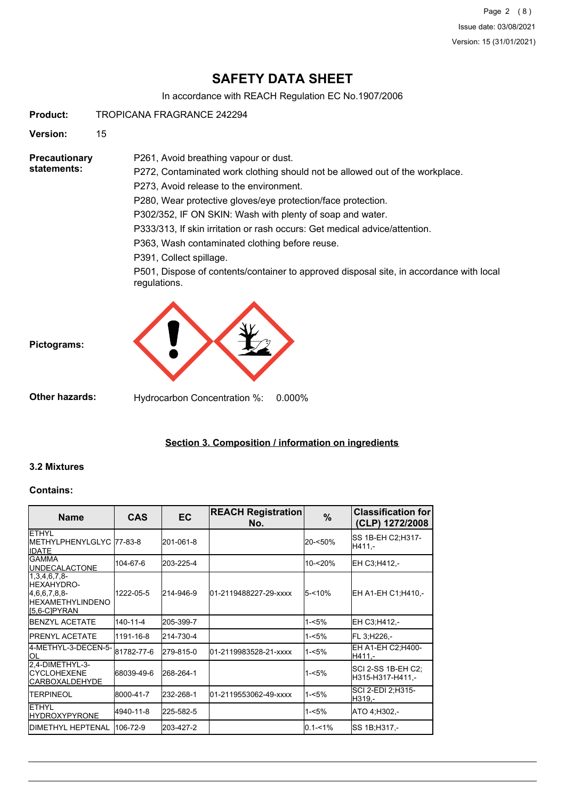Page 2 (8) Issue date: 03/08/2021 Version: 15 (31/01/2021)

# **SAFETY DATA SHEET**

In accordance with REACH Regulation EC No.1907/2006

**Product:** TROPICANA FRAGRANCE 242294

**Version:** 15

**Precautionary statements:**

P272, Contaminated work clothing should not be allowed out of the workplace.

P273, Avoid release to the environment.

P261, Avoid breathing vapour or dust.

P280, Wear protective gloves/eye protection/face protection.

P302/352, IF ON SKIN: Wash with plenty of soap and water.

P333/313, If skin irritation or rash occurs: Get medical advice/attention.

P363, Wash contaminated clothing before reuse.

P391, Collect spillage.

P501, Dispose of contents/container to approved disposal site, in accordance with local regulations.



**Other hazards:** Hydrocarbon Concentration %: 0.000%

## **Section 3. Composition / information on ingredients**

### **3.2 Mixtures**

**Pictograms:**

#### **Contains:**

| <b>Name</b>                                                                                         | <b>CAS</b>     | <b>EC</b> | <b>REACH Registration</b><br>No. | %           | <b>Classification for</b><br>(CLP) 1272/2008 |
|-----------------------------------------------------------------------------------------------------|----------------|-----------|----------------------------------|-------------|----------------------------------------------|
| <b>ETHYL</b><br>IMETHYLPHENYLGLYC 77-83-8<br><b>IDATE</b>                                           |                | 201-061-8 |                                  | 20-<50%     | SS 1B-EH C2;H317-<br>H411.-                  |
| IGAMMA<br><b>IUNDECALACTONE</b>                                                                     | 104-67-6       | 203-225-4 |                                  | 10-<20%     | EH C3;H412,-                                 |
| $[1,3,4,6,7,8-$<br><b>I</b> HEXAHYDRO-<br>[4,6,6,7,8,8]<br><b>IHEXAMETHYLINDENO</b><br>IS,6-CIPYRAN | 1222-05-5      | 214-946-9 | 01-2119488227-29-xxxx            | $5 - 10%$   | EH A1-EH C1;H410,-                           |
| <b>IBENZYL ACETATE</b>                                                                              | $140 - 11 - 4$ | 205-399-7 |                                  | $1 - 5%$    | EH C3;H412,-                                 |
| <b>IPRENYL ACETATE</b>                                                                              | 1191-16-8      | 214-730-4 |                                  | $1 - 5%$    | FL 3:H226.-                                  |
| 4-METHYL-3-DECEN-5-<br>ļОL                                                                          | 81782-77-6     | 279-815-0 | 01-2119983528-21-xxxx            | $1 - 5%$    | EH A1-EH C2; H400-<br>H411,-                 |
| 2.4-DIMETHYL-3-<br><b>ICYCLOHEXENE</b><br><b>ICARBOXALDEHYDE</b>                                    | 68039-49-6     | 268-264-1 |                                  | 1-<5%       | SCI 2-SS 1B-EH C2;<br>H315-H317-H411,-       |
| <b>ITERPINEOL</b>                                                                                   | 8000-41-7      | 232-268-1 | 01-2119553062-49-xxxx            | $1 - 5%$    | SCI 2-EDI 2:H315-<br>H319,-                  |
| <b>IETHYL</b><br><b>HYDROXYPYRONE</b>                                                               | 4940-11-8      | 225-582-5 |                                  | 1-<5%       | ATO 4:H302.-                                 |
| <b>IDIMETHYL HEPTENAL</b>                                                                           | 106-72-9       | 203-427-2 |                                  | $0.1 - 1\%$ | ISS 1B:H317.-                                |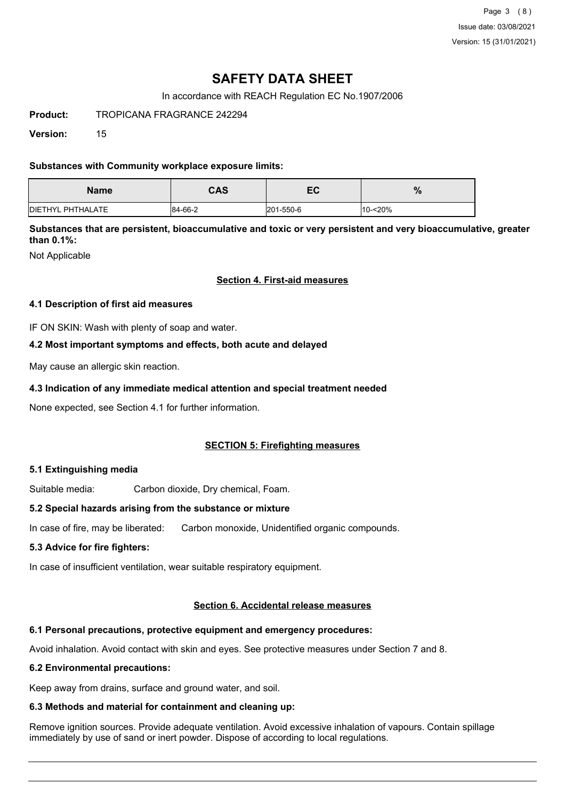Page 3 (8) Issue date: 03/08/2021 Version: 15 (31/01/2021)

# **SAFETY DATA SHEET**

In accordance with REACH Regulation EC No.1907/2006

**Product:** TROPICANA FRAGRANCE 242294

**Version:** 15

### **Substances with Community workplace exposure limits:**

| <b>Name</b>               | <b>CAS</b> | - ^<br>cc. | %          |
|---------------------------|------------|------------|------------|
| <b>IDIETHYL PHTHALATE</b> | 84-66-2    | 201-550-6  | $10 - 20%$ |

**Substances that are persistent, bioaccumulative and toxic or very persistent and very bioaccumulative, greater than 0.1%:**

Not Applicable

### **Section 4. First-aid measures**

### **4.1 Description of first aid measures**

IF ON SKIN: Wash with plenty of soap and water.

### **4.2 Most important symptoms and effects, both acute and delayed**

May cause an allergic skin reaction.

### **4.3 Indication of any immediate medical attention and special treatment needed**

None expected, see Section 4.1 for further information.

## **SECTION 5: Firefighting measures**

### **5.1 Extinguishing media**

Suitable media: Carbon dioxide, Dry chemical, Foam.

### **5.2 Special hazards arising from the substance or mixture**

In case of fire, may be liberated: Carbon monoxide, Unidentified organic compounds.

### **5.3 Advice for fire fighters:**

In case of insufficient ventilation, wear suitable respiratory equipment.

### **Section 6. Accidental release measures**

# **6.1 Personal precautions, protective equipment and emergency procedures:**

Avoid inhalation. Avoid contact with skin and eyes. See protective measures under Section 7 and 8.

## **6.2 Environmental precautions:**

Keep away from drains, surface and ground water, and soil.

## **6.3 Methods and material for containment and cleaning up:**

Remove ignition sources. Provide adequate ventilation. Avoid excessive inhalation of vapours. Contain spillage immediately by use of sand or inert powder. Dispose of according to local regulations.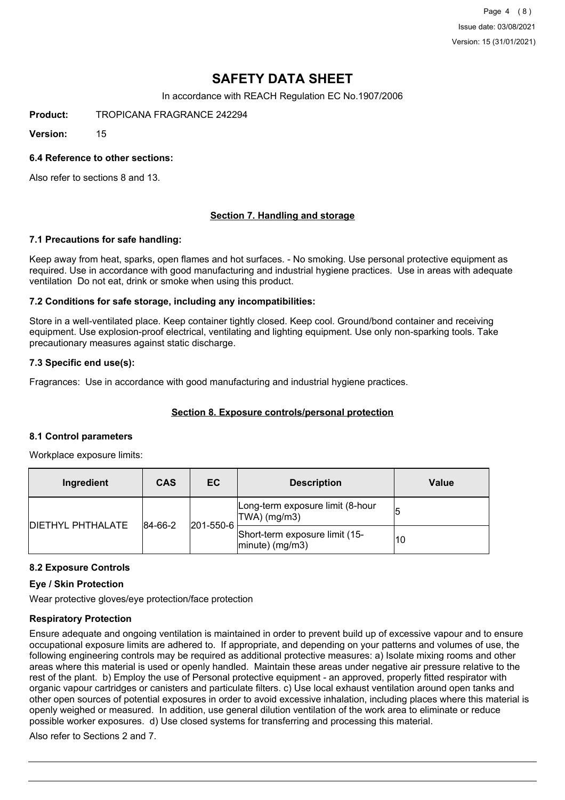Page 4 (8) Issue date: 03/08/2021 Version: 15 (31/01/2021)

# **SAFETY DATA SHEET**

In accordance with REACH Regulation EC No.1907/2006

**Product:** TROPICANA FRAGRANCE 242294

**Version:** 15

### **6.4 Reference to other sections:**

Also refer to sections 8 and 13.

### **Section 7. Handling and storage**

#### **7.1 Precautions for safe handling:**

Keep away from heat, sparks, open flames and hot surfaces. - No smoking. Use personal protective equipment as required. Use in accordance with good manufacturing and industrial hygiene practices. Use in areas with adequate ventilation Do not eat, drink or smoke when using this product.

### **7.2 Conditions for safe storage, including any incompatibilities:**

Store in a well-ventilated place. Keep container tightly closed. Keep cool. Ground/bond container and receiving equipment. Use explosion-proof electrical, ventilating and lighting equipment. Use only non-sparking tools. Take precautionary measures against static discharge.

### **7.3 Specific end use(s):**

Fragrances: Use in accordance with good manufacturing and industrial hygiene practices.

### **Section 8. Exposure controls/personal protection**

#### **8.1 Control parameters**

Workplace exposure limits:

| Ingredient               | <b>CAS</b> | EC        | <b>Description</b>                                   | Value |
|--------------------------|------------|-----------|------------------------------------------------------|-------|
|                          | 84-66-2    | 201-550-6 | Long-term exposure limit (8-hour<br> TWA  (mg/m3)    |       |
| <b>DIETHYL PHTHALATE</b> |            |           | Short-term exposure limit (15-<br>$ minute)$ (mg/m3) | 10    |

#### **8.2 Exposure Controls**

#### **Eye / Skin Protection**

Wear protective gloves/eye protection/face protection

### **Respiratory Protection**

Ensure adequate and ongoing ventilation is maintained in order to prevent build up of excessive vapour and to ensure occupational exposure limits are adhered to. If appropriate, and depending on your patterns and volumes of use, the following engineering controls may be required as additional protective measures: a) Isolate mixing rooms and other areas where this material is used or openly handled. Maintain these areas under negative air pressure relative to the rest of the plant. b) Employ the use of Personal protective equipment - an approved, properly fitted respirator with organic vapour cartridges or canisters and particulate filters. c) Use local exhaust ventilation around open tanks and other open sources of potential exposures in order to avoid excessive inhalation, including places where this material is openly weighed or measured. In addition, use general dilution ventilation of the work area to eliminate or reduce possible worker exposures. d) Use closed systems for transferring and processing this material.

Also refer to Sections 2 and 7.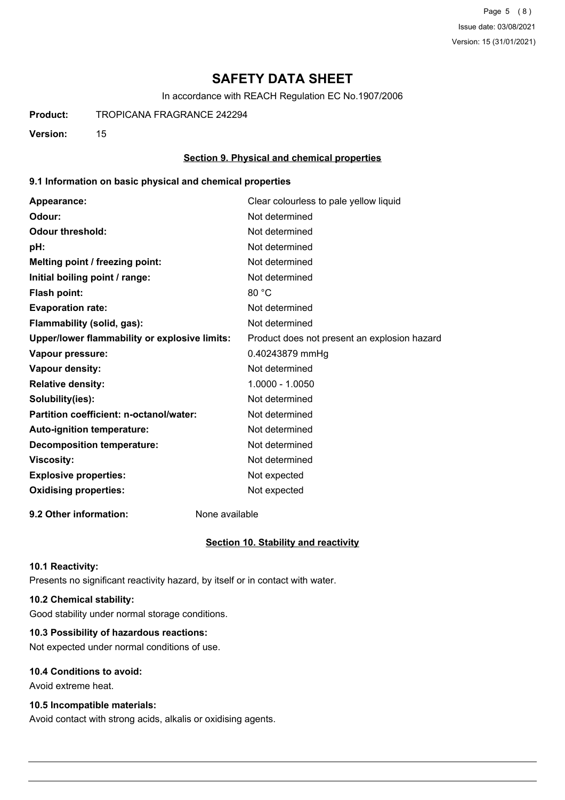Page 5 (8) Issue date: 03/08/2021 Version: 15 (31/01/2021)

# **SAFETY DATA SHEET**

In accordance with REACH Regulation EC No.1907/2006

**Product:** TROPICANA FRAGRANCE 242294

**Version:** 15

### **Section 9. Physical and chemical properties**

### **9.1 Information on basic physical and chemical properties**

| Appearance:                                   | Clear colourless to pale yellow liquid       |
|-----------------------------------------------|----------------------------------------------|
| Odour:                                        | Not determined                               |
| <b>Odour threshold:</b>                       | Not determined                               |
| pH:                                           | Not determined                               |
| Melting point / freezing point:               | Not determined                               |
| Initial boiling point / range:                | Not determined                               |
| <b>Flash point:</b>                           | 80 °C                                        |
| <b>Evaporation rate:</b>                      | Not determined                               |
| Flammability (solid, gas):                    | Not determined                               |
| Upper/lower flammability or explosive limits: | Product does not present an explosion hazard |
| Vapour pressure:                              | 0.40243879 mmHg                              |
| Vapour density:                               | Not determined                               |
| <b>Relative density:</b>                      | 1.0000 - 1.0050                              |
| Solubility(ies):                              | Not determined                               |
| Partition coefficient: n-octanol/water:       | Not determined                               |
| Auto-ignition temperature:                    | Not determined                               |
| <b>Decomposition temperature:</b>             | Not determined                               |
| <b>Viscosity:</b>                             | Not determined                               |
| <b>Explosive properties:</b>                  | Not expected                                 |
| <b>Oxidising properties:</b>                  | Not expected                                 |
|                                               |                                              |

**9.2 Other information:** None available

### **Section 10. Stability and reactivity**

#### **10.1 Reactivity:**

Presents no significant reactivity hazard, by itself or in contact with water.

## **10.2 Chemical stability:**

Good stability under normal storage conditions.

## **10.3 Possibility of hazardous reactions:**

Not expected under normal conditions of use.

## **10.4 Conditions to avoid:**

Avoid extreme heat.

## **10.5 Incompatible materials:**

Avoid contact with strong acids, alkalis or oxidising agents.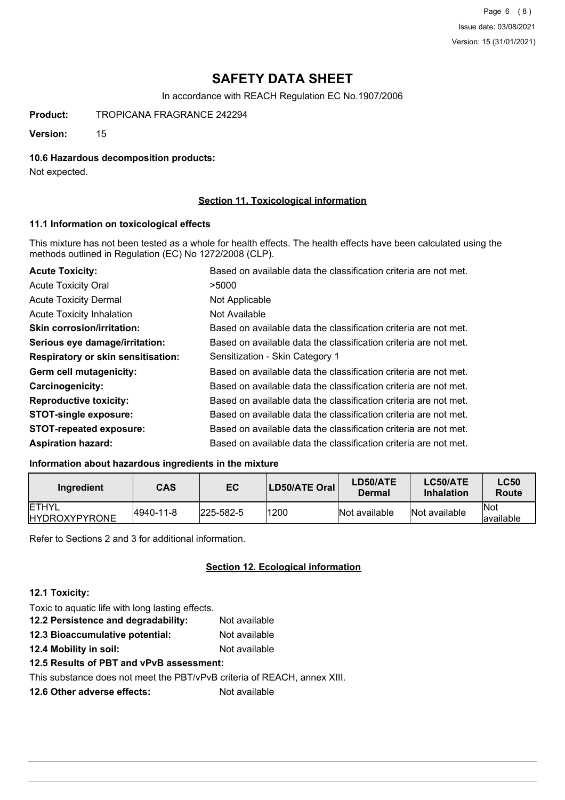Page 6 (8) Issue date: 03/08/2021 Version: 15 (31/01/2021)

# **SAFETY DATA SHEET**

In accordance with REACH Regulation EC No.1907/2006

**Product:** TROPICANA FRAGRANCE 242294

**Version:** 15

### **10.6 Hazardous decomposition products:**

Not expected.

### **Section 11. Toxicological information**

### **11.1 Information on toxicological effects**

This mixture has not been tested as a whole for health effects. The health effects have been calculated using the methods outlined in Regulation (EC) No 1272/2008 (CLP).

| <b>Acute Toxicity:</b>             | Based on available data the classification criteria are not met. |
|------------------------------------|------------------------------------------------------------------|
| <b>Acute Toxicity Oral</b>         | >5000                                                            |
| <b>Acute Toxicity Dermal</b>       | Not Applicable                                                   |
| <b>Acute Toxicity Inhalation</b>   | Not Available                                                    |
| <b>Skin corrosion/irritation:</b>  | Based on available data the classification criteria are not met. |
| Serious eye damage/irritation:     | Based on available data the classification criteria are not met. |
| Respiratory or skin sensitisation: | Sensitization - Skin Category 1                                  |
| Germ cell mutagenicity:            | Based on available data the classification criteria are not met. |
| <b>Carcinogenicity:</b>            | Based on available data the classification criteria are not met. |
| <b>Reproductive toxicity:</b>      | Based on available data the classification criteria are not met. |
| <b>STOT-single exposure:</b>       | Based on available data the classification criteria are not met. |
| <b>STOT-repeated exposure:</b>     | Based on available data the classification criteria are not met. |
| <b>Aspiration hazard:</b>          | Based on available data the classification criteria are not met. |

### **Information about hazardous ingredients in the mixture**

| Ingredient                            | CAS       | EC               | LD50/ATE Oral | LD50/ATE<br>Dermal | LC50/ATE<br><b>Inhalation</b> | <b>LC50</b><br>Route     |
|---------------------------------------|-----------|------------------|---------------|--------------------|-------------------------------|--------------------------|
| <b>IETHYL</b><br><b>HYDROXYPYRONE</b> | 4940-11-8 | $ 225 - 582 - 5$ | 1200          | Not available      | Not available                 | <b>Not</b><br>lavailable |

Refer to Sections 2 and 3 for additional information.

### **Section 12. Ecological information**

### **12.1 Toxicity:**

Toxic to aquatic life with long lasting effects. **12.2 Persistence and degradability:** Not available **12.3 Bioaccumulative potential:** Not available **12.4 Mobility in soil:** Not available

**12.5 Results of PBT and vPvB assessment:**

This substance does not meet the PBT/vPvB criteria of REACH, annex XIII.

**12.6 Other adverse effects:** Not available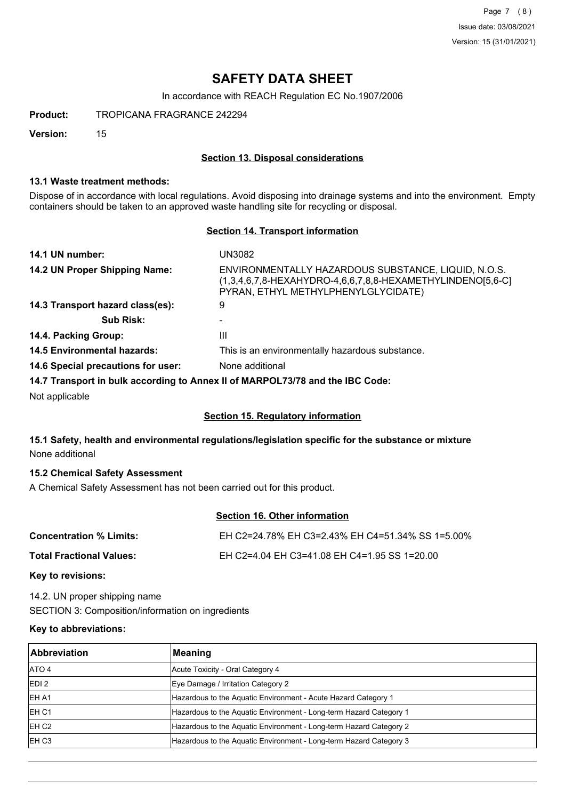Page 7 (8) Issue date: 03/08/2021 Version: 15 (31/01/2021)

# **SAFETY DATA SHEET**

In accordance with REACH Regulation EC No.1907/2006

**Product:** TROPICANA FRAGRANCE 242294

**Version:** 15

### **Section 13. Disposal considerations**

### **13.1 Waste treatment methods:**

Dispose of in accordance with local regulations. Avoid disposing into drainage systems and into the environment. Empty containers should be taken to an approved waste handling site for recycling or disposal.

### **Section 14. Transport information**

| 14.1 UN number:                    | UN3082                                                                                                                                                   |
|------------------------------------|----------------------------------------------------------------------------------------------------------------------------------------------------------|
| 14.2 UN Proper Shipping Name:      | ENVIRONMENTALLY HAZARDOUS SUBSTANCE, LIQUID, N.O.S.<br>(1,3,4,6,7,8-HEXAHYDRO-4,6,6,7,8,8-HEXAMETHYLINDENO[5,6-C]<br>PYRAN, ETHYL METHYLPHENYLGLYCIDATE) |
| 14.3 Transport hazard class(es):   | 9                                                                                                                                                        |
| <b>Sub Risk:</b>                   |                                                                                                                                                          |
| 14.4. Packing Group:               | Ш                                                                                                                                                        |
| <b>14.5 Environmental hazards:</b> | This is an environmentally hazardous substance.                                                                                                          |
| 14.6 Special precautions for user: | None additional                                                                                                                                          |
|                                    | 14.7 Transport in bulk according to Annex II of MARPOL73/78 and the IBC Code:                                                                            |
| Not applicable                     |                                                                                                                                                          |

### **Section 15. Regulatory information**

## **15.1 Safety, health and environmental regulations/legislation specific for the substance or mixture** None additional

## **15.2 Chemical Safety Assessment**

A Chemical Safety Assessment has not been carried out for this product.

# **Section 16. Other information**

| Concentration % Limits:  | EH C2=24.78% EH C3=2.43% EH C4=51.34% SS 1=5.00% |
|--------------------------|--------------------------------------------------|
| Total Fractional Values: | EH C2=4.04 EH C3=41.08 EH C4=1.95 SS 1=20.00     |

## **Key to revisions:**

14.2. UN proper shipping name SECTION 3: Composition/information on ingredients

## **Key to abbreviations:**

| <b>Abbreviation</b> | Meaning                                                            |
|---------------------|--------------------------------------------------------------------|
| ATO 4               | Acute Toxicity - Oral Category 4                                   |
| EDI <sub>2</sub>    | Eye Damage / Irritation Category 2                                 |
| EH A1               | Hazardous to the Aquatic Environment - Acute Hazard Category 1     |
| IEH C1              | Hazardous to the Aquatic Environment - Long-term Hazard Category 1 |
| EH <sub>C2</sub>    | Hazardous to the Aquatic Environment - Long-term Hazard Category 2 |
| EH C <sub>3</sub>   | Hazardous to the Aquatic Environment - Long-term Hazard Category 3 |